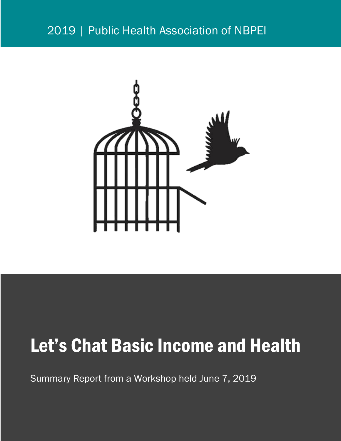### 2019 | Public Health Association of NBPEI



# Let's Chat Basic Income and Health

Summary Report from a Workshop held June 7, 2019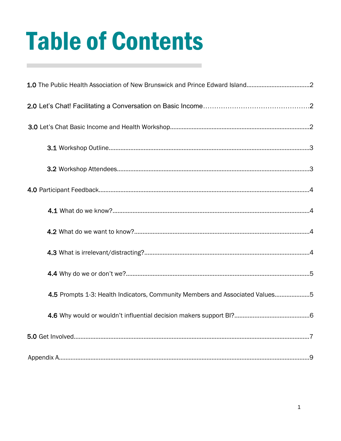# Table of Contents

| 1.0 The Public Health Association of New Brunswick and Prince Edward Island2 |  |
|------------------------------------------------------------------------------|--|
|                                                                              |  |
|                                                                              |  |
|                                                                              |  |
|                                                                              |  |
|                                                                              |  |
|                                                                              |  |
|                                                                              |  |
|                                                                              |  |
|                                                                              |  |
| 4.5 Prompts 1-3: Health Indicators, Community Members and Associated Values5 |  |
|                                                                              |  |
|                                                                              |  |
|                                                                              |  |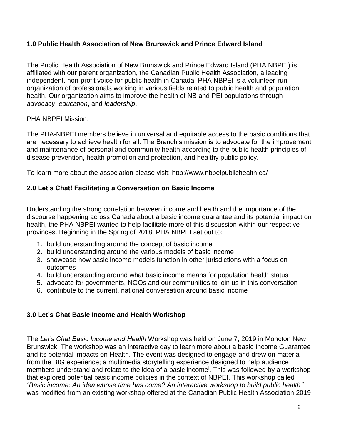#### **1.0 Public Health Association of New Brunswick and Prince Edward Island**

The Public Health Association of New Brunswick and Prince Edward Island (PHA NBPEI) is affiliated with our parent organization, the [Canadian Public Health Association,](http://www.cpha.ca/en/default.aspx) a leading independent, non-profit voice for public health in Canada. PHA NBPEI is a volunteer-run organization of professionals working in various fields related to public health and population health. Our organization aims to improve the health of NB and PEI populations through *advocacy*, *education*, and *leadership*.

#### PHA NBPEI Mission:

The PHA-NBPEI members believe in universal and equitable access to the basic conditions that are necessary to achieve health for all. The Branch's mission is to advocate for the improvement and maintenance of personal and community health according to the public health principles of disease prevention, health promotion and protection, and healthy public policy.

To learn more about the association please visit:<http://www.nbpeipublichealth.ca/>

#### **2.0 Let's Chat! Facilitating a Conversation on Basic Income**

Understanding the strong correlation between income and health and the importance of the discourse happening across Canada about a basic income guarantee and its potential impact on health, the PHA NBPEI wanted to help facilitate more of this discussion within our respective provinces. Beginning in the Spring of 2018, PHA NBPEI set out to:

- 1. build understanding around the concept of basic income
- 2. build understanding around the various models of basic income
- 3. showcase how basic income models function in other jurisdictions with a focus on outcomes
- 4. build understanding around what basic income means for population health status
- 5. advocate for governments, NGOs and our communities to join us in this conversation
- 6. contribute to the current, national conversation around basic income

#### **3.0 Let's Chat Basic Income and Health Workshop**

The *Let's Chat Basic Income and Health* Workshop was held on June 7, 2019 in Moncton New Brunswick. The workshop was an interactive day to learn more about a basic Income Guarantee and its potential impacts on Health. The event was designed to engage and drew on material from the BIG experience; a multimedia storytelling experience designed to help audience members understand and relate to the idea of a basic income<sup>i</sup>. This was followed by a workshop that explored potential basic income policies in the context of NBPEI. This workshop called *"Basic income: An idea whose time has come? An interactive workshop to build public health"* was modified from an existing workshop offered at the Canadian Public Health Association 2019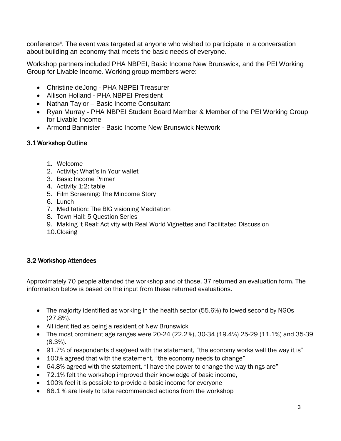conference<sup>ii</sup>. The event was targeted at anyone who wished to participate in a conversation about building an economy that meets the basic needs of everyone.

Workshop partners included PHA NBPEI, Basic Income New Brunswick, and the PEI Working Group for Livable Income. Working group members were:

- Christine deJong PHA NBPEI Treasurer
- Allison Holland PHA NBPEI President
- Nathan Taylor Basic Income Consultant
- Ryan Murray PHA NBPEI Student Board Member & Member of the PEI Working Group for Livable Income
- Armond Bannister Basic Income New Brunswick Network

#### 3.1 Workshop Outline

- 1. Welcome
- 2. Activity: What's in Your wallet
- 3. Basic Income Primer
- 4. Activity 1:2: table
- 5. Film Screening: The Mincome Story
- 6. Lunch
- 7. Meditation: The BIG visioning Meditation
- 8. Town Hall: 5 Question Series
- 9. Making it Real: Activity with Real World Vignettes and Facilitated Discussion
- 10.Closing

#### 3.2 Workshop Attendees

Approximately 70 people attended the workshop and of those, 37 returned an evaluation form. The information below is based on the input from these returned evaluations.

- The majority identified as working in the health sector (55.6%) followed second by NGOs (27.8%).
- All identified as being a resident of New Brunswick
- The most prominent age ranges were 20-24 (22.2%), 30-34 (19.4%) 25-29 (11.1%) and 35-39 (8.3%).
- 91.7% of respondents disagreed with the statement, "the economy works well the way it is"
- 100% agreed that with the statement, "the economy needs to change"
- 64.8% agreed with the statement, "I have the power to change the way things are"
- 72.1% felt the workshop improved their knowledge of basic income,
- 100% feel it is possible to provide a basic income for everyone
- 86.1 % are likely to take recommended actions from the workshop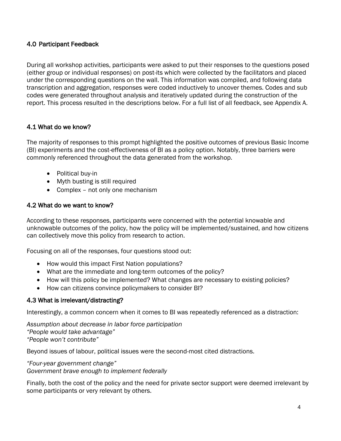#### 4.0 Participant Feedback

During all workshop activities, participants were asked to put their responses to the questions posed (either group or individual responses) on post-its which were collected by the facilitators and placed under the corresponding questions on the wall. This information was compiled, and following data transcription and aggregation, responses were coded inductively to uncover themes. Codes and sub codes were generated throughout analysis and iteratively updated during the construction of the report. This process resulted in the descriptions below. For a full list of all feedback, see Appendix A.

#### 4.1 What do we know?

The majority of responses to this prompt highlighted the positive outcomes of previous Basic Income (BI) experiments and the cost-effectiveness of BI as a policy option. Notably, three barriers were commonly referenced throughout the data generated from the workshop.

- Political buy-in
- Myth busting is still required
- Complex not only one mechanism

#### 4.2 What do we want to know?

According to these responses, participants were concerned with the potential knowable and unknowable outcomes of the policy, how the policy will be implemented/sustained, and how citizens can collectively move this policy from research to action.

Focusing on all of the responses, four questions stood out:

- How would this impact First Nation populations?
- What are the immediate and long-term outcomes of the policy?
- How will this policy be implemented? What changes are necessary to existing policies?
- How can citizens convince policymakers to consider BI?

#### 4.3 What is irrelevant/distracting?

Interestingly, a common concern when it comes to BI was repeatedly referenced as a distraction:

*Assumption about decrease in labor force participation "People would take advantage" "People won't contribute"*

Beyond issues of labour, political issues were the second-most cited distractions.

*"Four-year government change" Government brave enough to implement federally*

Finally, both the cost of the policy and the need for private sector support were deemed irrelevant by some participants or very relevant by others.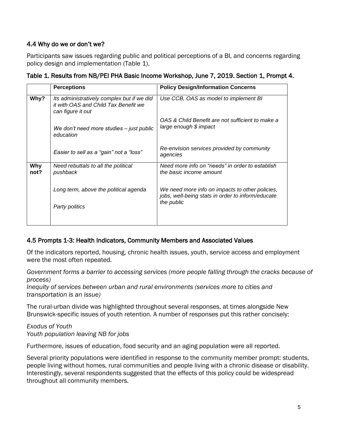#### 4.4 Why do we or don't we?

Participants saw issues regarding public and political perceptions of a BI, and concerns regarding policy design and implementation (Table 1).

|             | <b>Perceptions</b>                                                                                      | <b>Policy Design/Information Concerns</b>                                                                          |
|-------------|---------------------------------------------------------------------------------------------------------|--------------------------------------------------------------------------------------------------------------------|
| Why?        | Its administratively complex but if we did<br>it with OAS and Child Tax Benefit we<br>can figure it out | Use CCB, OAS as model to implement BI                                                                              |
|             | We don't need more studies - just public<br>education                                                   | OAS & Child Benefit are not sufficient to make a<br>large enough \$ impact                                         |
|             | Easier to sell as a "gain" not a "loss"                                                                 | Re-envision services provided by community<br>agencies                                                             |
| Why<br>not? | Need rebuttals to all the political<br>pushback                                                         | Need more info on "needs" in order to establish<br>the basic income amount                                         |
|             | Long term, above the political agenda<br>Party politics                                                 | We need more info on impacts to other policies,<br>jobs, well-being stats in order to inform/educate<br>the public |
|             |                                                                                                         |                                                                                                                    |

#### Table 1. Results from NB/PEI PHA Basic Income Workshop, June 7, 2019. Section 1, Prompt 4.

#### 4.5 Prompts 1-3: Health Indicators, Community Members and Associated Values

Of the indicators reported, housing, chronic health issues, youth, service access and employment were the most often repeated.

*Government forms a barrier to accessing services (more people falling through the cracks because of process)*

*Inequity of services between urban and rural environments (services more to cities and transportation is an issue)*

The rural-urban divide was highlighted throughout several responses, at times alongside New Brunswick-specific issues of youth retention. A number of responses put this rather concisely:

*Exodus of Youth Youth population leaving NB for jobs*

Furthermore, issues of education, food security and an aging population were all reported.

Several priority populations were identified in response to the community member prompt: students, people living without homes, rural communities and people living with a chronic disease or disability. Interestingly, several respondents suggested that the effects of this policy could be widespread throughout all community members.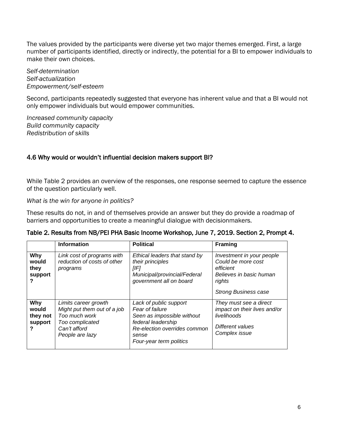The values provided by the participants were diverse yet two major themes emerged. First, a large number of participants identified, directly or indirectly, the potential for a BI to empower individuals to make their own choices.

*Self-determination Self-actualization Empowerment/self-esteem*

Second, participants repeatedly suggested that everyone has inherent value and that a BI would not only empower individuals but would empower communities.

*Increased community capacity Build community capacity Redistribution of skills* 

#### 4.6 Why would or wouldn't influential decision makers support BI?

While Table 2 provides an overview of the responses, one response seemed to capture the essence of the question particularly well.

*What is the win for anyone in politics?*

These results do not, in and of themselves provide an answer but they do provide a roadmap of barriers and opportunities to create a meaningful dialogue with decisionmakers.

|                                          | <b>Information</b>                                                                                                         | <b>Political</b>                                                                                                                                                  | <b>Framing</b>                                                                                                                   |
|------------------------------------------|----------------------------------------------------------------------------------------------------------------------------|-------------------------------------------------------------------------------------------------------------------------------------------------------------------|----------------------------------------------------------------------------------------------------------------------------------|
| Why<br>would<br>they<br>support          | Link cost of programs with<br>reduction of costs of other<br>programs                                                      | Ethical leaders that stand by<br>their principles<br>[IF]<br>Municipal/provincial/Federal<br>government all on board                                              | Investment in your people<br>Could be more cost<br>efficient<br>Believes in basic human<br>rights<br><b>Strong Business case</b> |
| Why<br>would<br>they not<br>support<br>? | Limits career growth<br>Might put them out of a job<br>Too much work<br>Too complicated<br>Can't afford<br>People are lazy | Lack of public support<br>Fear of failure<br>Seen as impossible without<br>federal leadership<br>Re-election overrides common<br>sense<br>Four-year term politics | They must see a direct<br>impact on their lives and/or<br>livelihoods<br>Different values<br>Complex issue                       |

#### Table 2. Results from NB/PEI PHA Basic Income Workshop, June 7, 2019. Section 2, Prompt 4.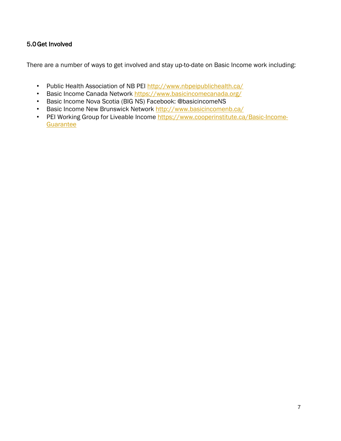#### 5.0Get Involved

There are a number of ways to get involved and stay up-to-date on Basic Income work including:

- Public Health Association of NB PEI<http://www.nbpeipublichealth.ca/>
- Basic Income Canada Network<https://www.basicincomecanada.org/>
- Basic Income Nova Scotia (BIG NS) Facebook: @basicincomeNS
- Basic Income New Brunswick Network<http://www.basicincomenb.ca/>
- PEI Working Group for Liveable Income [https://www.cooperinstitute.ca/Basic-Income-](https://www.cooperinstitute.ca/Basic-Income-Guarantee)**Guarantee**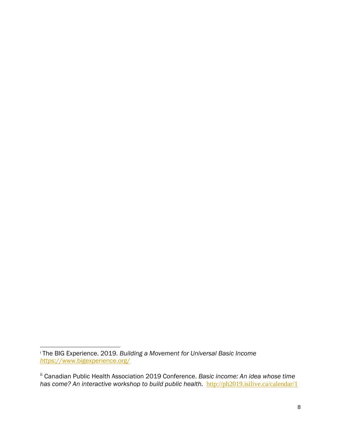<sup>i</sup> The BIG Experience. 2019. *Building a Movement for Universal Basic Income https*[://www.bigexperience.org/](https://www.bigexperience.org/)

ii Canadian Public Health Association 2019 Conference. *Basic income: An idea whose time has come? An interactive workshop to build public health.* <http://ph2019.isilive.ca/calendar/1>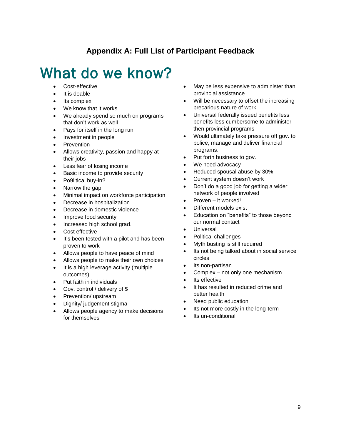#### **Appendix A: Full List of Participant Feedback**

### What do we know?

- Cost-effective
- It is doable

- Its complex
- We know that it works
- We already spend so much on programs that don't work as well
- Pays for itself in the long run
- Investment in people
- Prevention
- Allows creativity, passion and happy at their jobs
- Less fear of losing income
- Basic income to provide security
- Po9litical buy-in?
- Narrow the gap
- Minimal impact on workforce participation
- Decrease in hospitalization
- Decrease in domestic violence
- Improve food security
- Increased high school grad.
- Cost effective
- It's been tested with a pilot and has been proven to work
- Allows people to have peace of mind
- Allows people to make their own choices
- It is a high leverage activity (multiple outcomes)
- Put faith in individuals
- Gov. control / delivery of \$
- Prevention/ upstream
- Dignity/ judgement stigma
- Allows people agency to make decisions for themselves
- May be less expensive to administer than provincial assistance
- Will be necessary to offset the increasing precarious nature of work
- Universal federally issued benefits less benefits less cumbersome to administer then provincial programs
- Would ultimately take pressure off gov. to police, manage and deliver financial programs.
- Put forth business to gov.
- We need advocacy
- Reduced spousal abuse by 30%
- Current system doesn't work
- Don't do a good job for getting a wider network of people involved
- Proven it worked!
- Different models exist
- Education on "benefits" to those beyond our normal contact
- **Universal**
- Political challenges
- Myth busting is still required
- Its not being talked about in social service circles
- Its non-partisan
- Complex not only one mechanism
- Its effective
- It has resulted in reduced crime and better health
- Need public education
- Its not more costly in the long-term
- Its un-conditional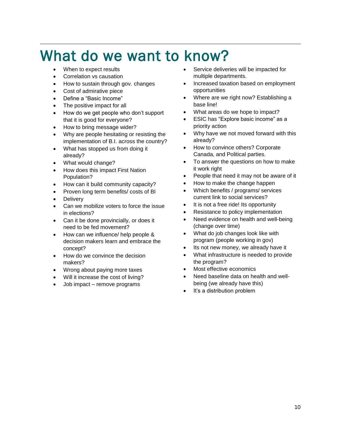# What do we want to know?

When to expect results

- Correlation vs causation
- How to sustain through gov. changes
- Cost of admirative piece
- Define a "Basic Income"
- The positive impact for all
- How do we get people who don't support that it is good for everyone?
- How to bring message wider?
- Why are people hesitating or resisting the implementation of B.I. across the country?
- What has stopped us from doing it already?
- What would change?
- How does this impact First Nation Population?
- How can it build community capacity?
- Proven long term benefits/ costs of BI
- **Delivery**
- Can we mobilize voters to force the issue in elections?
- Can it be done provincially, or does it need to be fed movement?
- How can we influence/ help people & decision makers learn and embrace the concept?
- How do we convince the decision makers?
- Wrong about paying more taxes
- Will it increase the cost of living?
- Job impact remove programs
- Service deliveries will be impacted for multiple departments.
- Increased taxation based on employment opportunities
- Where are we right now? Establishing a base line!
- What areas do we hope to impact?
- ESIC has "Explore basic income" as a priority action
- Why have we not moved forward with this already?
- How to convince others? Corporate Canada, and Political parties.
- To answer the questions on how to make it work right
- People that need it may not be aware of it
- How to make the change happen
- Which benefits / programs/ services current link to social services?
- It is not a free ride! Its opportunity
- Resistance to policy implementation
- Need evidence on health and well-being (change over time)
- What do job changes look like with program (people working in gov)
- Its not new money, we already have it
- What infrastructure is needed to provide the program?
- Most effective economics
- Need baseline data on health and wellbeing (we already have this)
- It's a distribution problem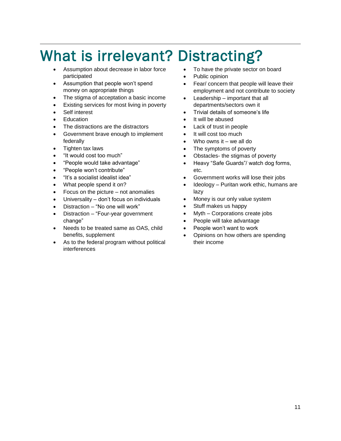# What is irrelevant? Distracting?

- Assumption about decrease in labor force participated
- Assumption that people won't spend money on appropriate things
- The stigma of acceptation a basic income
- Existing services for most living in poverty
- Self interest
- **Education**

- The distractions are the distractors
- Government brave enough to implement federally
- Tighten tax laws
- "It would cost too much"
- "People would take advantage"
- "People won't contribute"
- "It's a socialist idealist idea"
- What people spend it on?
- Focus on the picture not anomalies
- Universality don't focus on individuals
- Distraction "No one will work"
- Distraction "Four-year government change"
- Needs to be treated same as OAS, child benefits, supplement
- As to the federal program without political interferences
- To have the private sector on board
- Public opinion
- Fear/ concern that people will leave their employment and not contribute to society
- Leadership important that all departments/sectors own it
- Trivial details of someone's life
- It will be abused
- Lack of trust in people
- It will cost too much
- Who owns it we all do
- The symptoms of poverty
- Obstacles- the stigmas of poverty
- Heavy "Safe Guards"/ watch dog forms, etc.
- Government works will lose their jobs
- Ideology Puritan work ethic, humans are lazy
- Money is our only value system
- Stuff makes us happy
- Myth Corporations create jobs
- People will take advantage
- People won't want to work
- Opinions on how others are spending their income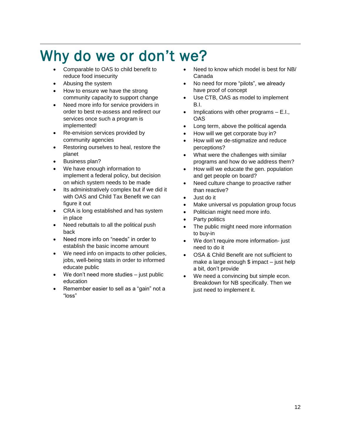# Why do we or don't we?

- Comparable to OAS to child benefit to reduce food insecurity
- Abusing the system

- How to ensure we have the strong community capacity to support change
- Need more info for service providers in order to best re-assess and redirect our services once such a program is implemented!
- Re-envision services provided by community agencies
- Restoring ourselves to heal, restore the planet
- Business plan?
- We have enough information to implement a federal policy, but decision on which system needs to be made
- Its administratively complex but if we did it with OAS and Child Tax Benefit we can figure it out
- CRA is long established and has system in place
- Need rebuttals to all the political push back
- Need more info on "needs" in order to establish the basic income amount
- We need info on impacts to other policies, jobs, well-being stats in order to informed educate public
- We don't need more studies  $-$  just public education
- Remember easier to sell as a "gain" not a "loss"
- Need to know which model is best for NB/ Canada
- No need for more "pilots", we already have proof of concept
- Use CTB, OAS as model to implement B.I.
- Implications with other programs  $E.I.,$ **OAS**
- Long term, above the political agenda
- How will we get corporate buy in?
- How will we de-stigmatize and reduce perceptions?
- What were the challenges with similar programs and how do we address them?
- How will we educate the gen. population and get people on board?
- Need culture change to proactive rather than reactive?
- Just do it
- Make universal vs population group focus
- Politician might need more info.
- Party politics
- The public might need more information to buy-in
- We don't require more information- just need to do it
- OSA & Child Benefit are not sufficient to make a large enough \$ impact – just help a bit, don't provide
- We need a convincing but simple econ. Breakdown for NB specifically. Then we just need to implement it.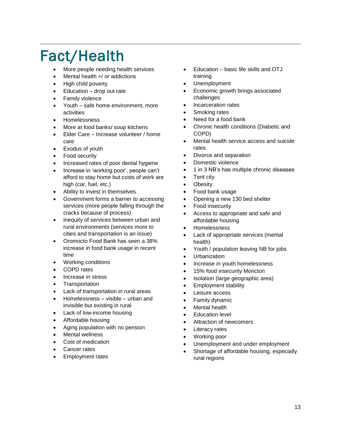# Fact/Health

- More people needing health services
- Mental health  $+$ / or addictions
- High child poverty
- Education drop out rate
- Family violence
- Youth safe home environment, more activities
- Homelessness
- More at food banks/ soup kitchens
- Elder Care Increase volunteer / home care
- Exodus of youth
- Food security
- Increased rates of poor dental hygiene
- Increase in 'working poor', people can't afford to stay home but costs of work are high (car, fuel, etc.)
- Ability to invest in themselves
- Government forms a barrier to accessing services (more people falling through the cracks because of process)
- Inequity of services between urban and rural environments (services more to cities and transportation is an issue)
- Oromocto Food Bank has seen a 38% increase in food bank usage in recent time
- Working conditions
- COPD rates
- Increase in stress
- **Transportation**
- Lack of transportation in rural areas
- Homelessness visible urban and invisible but existing in rural
- Lack of low-income housing
- Affordable housing
- Aging population with no pension
- **Mental wellness**
- Cost of medication
- Cancer rates
- Employment rates
- Education basic life skills and OTJ training
- Unemployment
- Economic growth brings associated challenges
- Incarceration rates
- Smoking rates
- Need for a food bank
- Chronic health conditions (Diabetic and COPD)
- Mental health service access and suicide rates
- Divorce and separation
- Domestic violence
- 1 in 3 NB's has multiple chronic diseases
- Tent city
- **Obesity**
- Food bank usage
- Opening a new 130 bed shelter
- Food insecurity
- Access to appropriate and safe and affordable housing
- Homelessness
- Lack of appropriate services (mental health)
- Youth / population leaving NB for jobs
- Urbanization
- Increase in youth homelessness
- 15% food insecurity Moncton
- Isolation (large geographic area)
- Employment stability
- Leisure access
- Family dynamic
- Mental health
- **Education level**
- Attraction of newcomers
- **Literacy rates**
- Working poor
- Unemployment and under employment
- Shortage of affordable housing, especially rural regions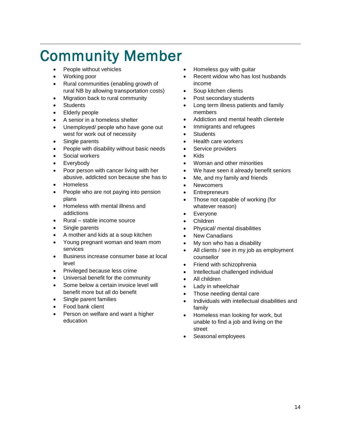# Community Member

- People without vehicles
- Working poor

- Rural communities (enabling growth of rural NB by allowing transportation costs)
- Migration back to rural community
- **Students**
- Elderly people
- A senior in a homeless shelter
- Unemployed/ people who have gone out west for work out of necessity
- Single parents
- People with disability without basic needs
- Social workers
- **Everybody**
- Poor person with cancer living with her abusive, addicted son because she has to
- Homeless
- People who are not paying into pension plans
- Homeless with mental illness and addictions
- Rural stable income source
- Single parents
- A mother and kids at a soup kitchen
- Young pregnant woman and team mom services
- Business increase consumer base at local level
- Privileged because less crime
- Universal benefit for the community
- Some below a certain invoice level will benefit more but all do benefit
- Single parent families
- Food bank client
- Person on welfare and want a higher education
- Homeless guy with guitar
- Recent widow who has lost husbands income
- Soup kitchen clients
- Post secondary students
- Long term illness patients and family members
- Addiction and mental health clientele
- Immigrants and refugees
- Students
- Health care workers
- Service providers
- Kids
- Woman and other minorities
- We have seen it already benefit seniors
- Me, and my family and friends
- **Newcomers**
- **Entrepreneurs**
- Those not capable of working (for whatever reason)
- Everyone
- Children
- Physical/ mental disabilities
- **New Canadians**
- My son who has a disability
- All clients / see in my job as employment counsellor
- Friend with schizophrenia
- Intellectual challenged individual
- All children
- Lady in wheelchair
- Those needing dental care
- Individuals with intellectual disabilities and family
- Homeless man looking for work, but unable to find a job and living on the street
- Seasonal employees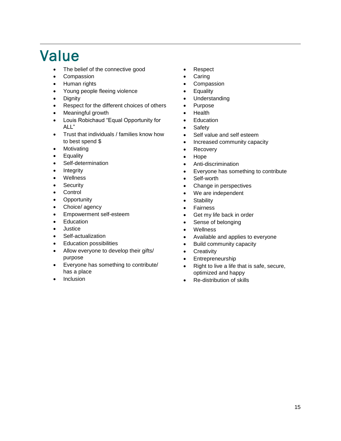### Value

- The belief of the connective good
- Compassion
- Human rights
- Young people fleeing violence
- Dignity
- Respect for the different choices of others
- Meaningful growth
- Louis Robichaud "Equal Opportunity for ALL"
- Trust that individuals / families know how to best spend \$
- Motivating
- Equality
- Self-determination
- **Integrity**
- **Wellness**
- **Security**
- **Control**
- **Opportunity**
- Choice/ agency
- Empowerment self-esteem
- Education
- **Justice**
- Self-actualization
- Education possibilities
- Allow everyone to develop their gifts/ purpose
- Everyone has something to contribute/ has a place
- **Inclusion**
- Respect
- **Caring**
- **Compassion**
- **Equality**
- **Understanding**
- Purpose
- Health
- Education
- **Safety**
- Self value and self esteem
- Increased community capacity
- Recovery
- Hope
- Anti-discrimination
- Everyone has something to contribute
- Self-worth
- Change in perspectives
- We are independent
- **Stability**
- **Fairness**
- Get my life back in order
- Sense of belonging
- Wellness
- Available and applies to everyone
- Build community capacity
- Creativity
- **Entrepreneurship**
- Right to live a life that is safe, secure, optimized and happy
- Re-distribution of skills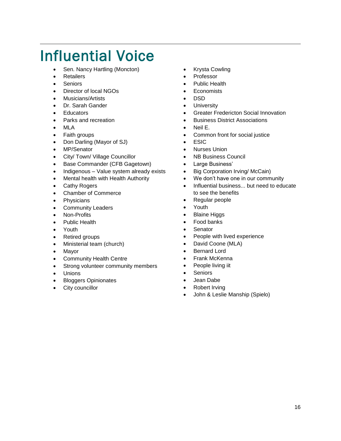# Influential Voice

- Sen. Nancy Hartling (Moncton)
- Retailers

- **Seniors**
- Director of local NGOs
- Musicians/Artists
- Dr. Sarah Gander
- **Educators**
- Parks and recreation
- MLA
- Faith groups
- Don Darling (Mayor of SJ)
- MP/Senator
- City/ Town/ Village Councillor
- Base Commander (CFB Gagetown)
- Indigenous Value system already exists
- Mental health with Health Authority
- Cathy Rogers
- Chamber of Commerce
- Physicians
- Community Leaders
- Non-Profits
- Public Health
- Youth
- Retired groups
- Ministerial team (church)
- Mayor
- Community Health Centre
- Strong volunteer community members
- **Unions**
- Bloggers Opinionates
- City councillor
- Krysta Cowling
- **Professor**
- Public Health
- **Economists**
- DSD
- **University**
- Greater Fredericton Social Innovation
- Business District Associations
- Neil E.
- Common front for social justice
- ESIC
- Nurses Union
- NB Business Council
- Large Business'
- Big Corporation Irving/ McCain)
- We don't have one in our community
- Influential business... but need to educate to see the benefits
- Regular people
- Youth
- **Blaine Higgs**
- Food banks
- **Senator**
- People with lived experience
- David Coone (MLA)
- Bernard Lord
- Frank McKenna
- People living iit
- **Seniors**
- Jean Dabe
- Robert Irving
- John & Leslie Manship (Spielo)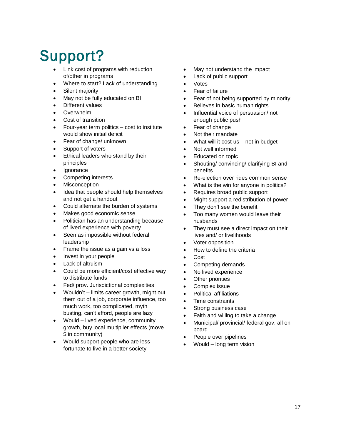# Support?

- Link cost of programs with reduction of/other in programs
- Where to start? Lack of understanding
- Silent majority
- May not be fully educated on BI
- Different values
- Overwhelm
- Cost of transition
- Four-year term politics cost to institute would show initial deficit
- Fear of change/ unknown
- Support of voters
- Ethical leaders who stand by their principles
- **Ignorance**
- Competing interests
- **Misconception**
- Idea that people should help themselves and not get a handout
- Could alternate the burden of systems
- Makes good economic sense
- Politician has an understanding because of lived experience with poverty
- Seen as impossible without federal leadership
- Frame the issue as a gain vs a loss
- Invest in your people
- Lack of altruism
- Could be more efficient/cost effective way to distribute funds
- Fed/ prov. Jurisdictional complexities
- Wouldn't limits career growth, might out them out of a job, corporate influence, too much work, too complicated, myth busting, can't afford, people are lazy
- Would lived experience, community growth, buy local multiplier effects (move \$ in community)
- Would support people who are less fortunate to live in a better society
- May not understand the impact
- Lack of public support
- Votes
- Fear of failure
- Fear of not being supported by minority
- Believes in basic human rights
- Influential voice of persuasion/ not enough public push
- Fear of change
- Not their mandate
- What will it cost  $us not$  in budget
- Not well informed
- Educated on topic
- Shouting/ convincing/ clarifying BI and benefits
- Re-election over rides common sense
- What is the win for anyone in politics?
- Requires broad public support
- Might support a redistribution of power
- They don't see the benefit
- Too many women would leave their husbands
- They must see a direct impact on their lives and/ or livelihoods
- Voter opposition
- How to define the criteria
- Cost
- Competing demands
- No lived experience
- **Other priorities**
- Complex issue
- Political affiliations
- Time constraints
- Strong business case
- Faith and willing to take a change
- Municipal/ provincial/ federal gov. all on board
- People over pipelines
- Would long term vision